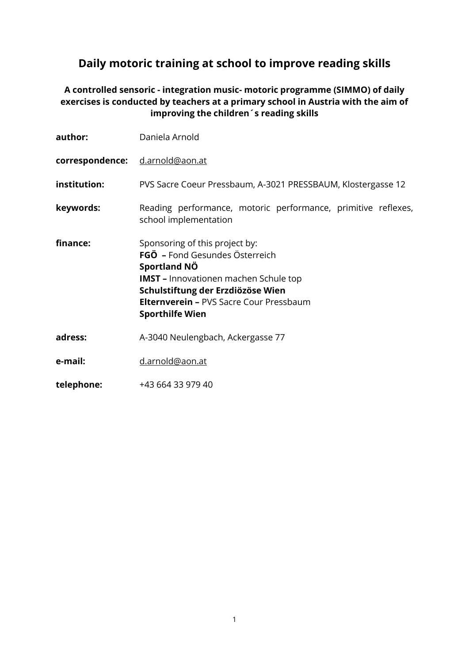# **Daily motoric training at school to improve reading skills**

**A controlled sensoric - integration music- motoric programme (SIMMO) of daily exercises is conducted by teachers at a primary school in Austria with the aim of improving the children´s reading skills**

| author:         | Daniela Arnold                                                                                                                                                                                                                                    |
|-----------------|---------------------------------------------------------------------------------------------------------------------------------------------------------------------------------------------------------------------------------------------------|
| correspondence: | d.arnold@aon.at                                                                                                                                                                                                                                   |
| institution:    | PVS Sacre Coeur Pressbaum, A-3021 PRESSBAUM, Klostergasse 12                                                                                                                                                                                      |
| keywords:       | Reading performance, motoric performance, primitive reflexes,<br>school implementation                                                                                                                                                            |
| finance:        | Sponsoring of this project by:<br>FGÖ - Fond Gesundes Österreich<br>Sportland NO<br><b>IMST</b> – Innovationen machen Schule top<br>Schulstiftung der Erzdiözöse Wien<br><b>Elternverein - PVS Sacre Cour Pressbaum</b><br><b>Sporthilfe Wien</b> |
| adress:         | A-3040 Neulengbach, Ackergasse 77                                                                                                                                                                                                                 |
| e-mail:         | d.arnold@aon.at                                                                                                                                                                                                                                   |
| telephone:      | +43 664 33 979 40                                                                                                                                                                                                                                 |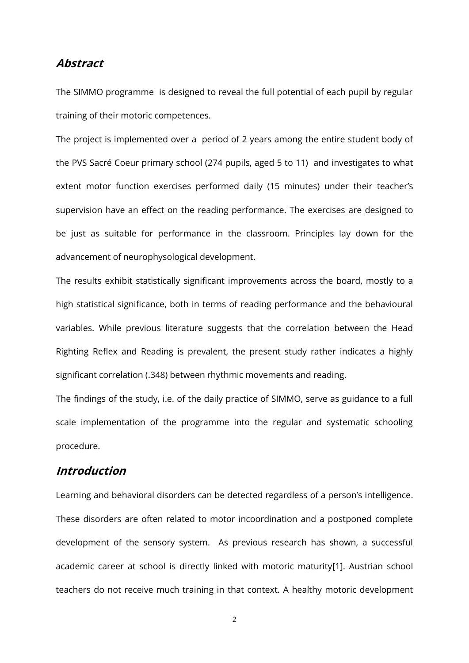## **Abstract**

The SIMMO programme is designed to reveal the full potential of each pupil by regular training of their motoric competences.

The project is implemented over a period of 2 years among the entire student body of the PVS Sacré Coeur primary school (274 pupils, aged 5 to 11) and investigates to what extent motor function exercises performed daily (15 minutes) under their teacher's supervision have an effect on the reading performance. The exercises are designed to be just as suitable for performance in the classroom. Principles lay down for the advancement of neurophysological development.

The results exhibit statistically significant improvements across the board, mostly to a high statistical significance, both in terms of reading performance and the behavioural variables. While previous literature suggests that the correlation between the Head Righting Reflex and Reading is prevalent, the present study rather indicates a highly significant correlation (.348) between rhythmic movements and reading.

The findings of the study, i.e. of the daily practice of SIMMO, serve as guidance to a full scale implementation of the programme into the regular and systematic schooling procedure.

## **Introduction**

Learning and behavioral disorders can be detected regardless of a person's intelligence. These disorders are often related to motor incoordination and a postponed complete development of the sensory system. As previous research has shown, a successful academic career at school is directly linked with motoric maturity[1]. Austrian school teachers do not receive much training in that context. A healthy motoric development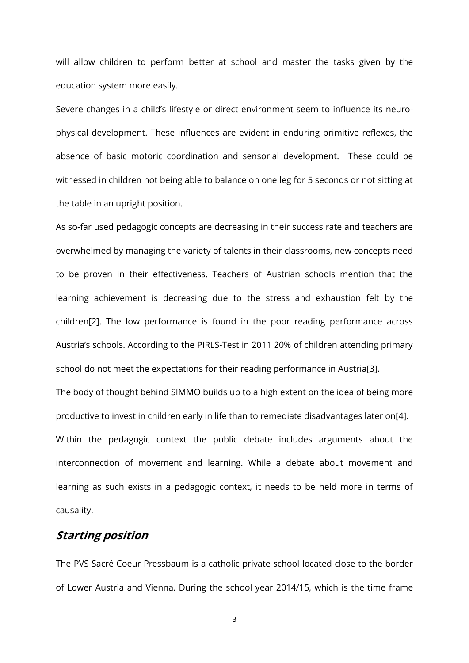will allow children to perform better at school and master the tasks given by the education system more easily.

Severe changes in a child's lifestyle or direct environment seem to influence its neurophysical development. These influences are evident in enduring primitive reflexes, the absence of basic motoric coordination and sensorial development. These could be witnessed in children not being able to balance on one leg for 5 seconds or not sitting at the table in an upright position.

As so-far used pedagogic concepts are decreasing in their success rate and teachers are overwhelmed by managing the variety of talents in their classrooms, new concepts need to be proven in their effectiveness. Teachers of Austrian schools mention that the learning achievement is decreasing due to the stress and exhaustion felt by the children[2]. The low performance is found in the poor reading performance across Austria's schools. According to the PIRLS-Test in 2011 20% of children attending primary school do not meet the expectations for their reading performance in Austria[3].

The body of thought behind SIMMO builds up to a high extent on the idea of being more productive to invest in children early in life than to remediate disadvantages later on[4]. Within the pedagogic context the public debate includes arguments about the interconnection of movement and learning. While a debate about movement and learning as such exists in a pedagogic context, it needs to be held more in terms of causality.

## **Starting position**

The PVS Sacré Coeur Pressbaum is a catholic private school located close to the border of Lower Austria and Vienna. During the school year 2014/15, which is the time frame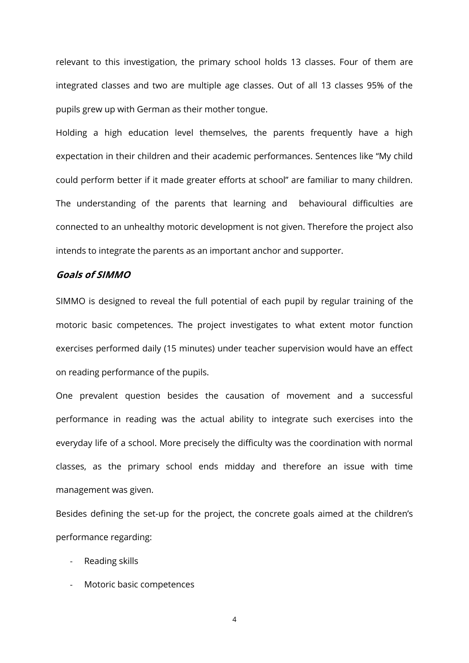relevant to this investigation, the primary school holds 13 classes. Four of them are integrated classes and two are multiple age classes. Out of all 13 classes 95% of the pupils grew up with German as their mother tongue.

Holding a high education level themselves, the parents frequently have a high expectation in their children and their academic performances. Sentences like "My child could perform better if it made greater efforts at school" are familiar to many children. The understanding of the parents that learning and behavioural difficulties are connected to an unhealthy motoric development is not given. Therefore the project also intends to integrate the parents as an important anchor and supporter.

### **Goals of SIMMO**

SIMMO is designed to reveal the full potential of each pupil by regular training of the motoric basic competences. The project investigates to what extent motor function exercises performed daily (15 minutes) under teacher supervision would have an effect on reading performance of the pupils.

One prevalent question besides the causation of movement and a successful performance in reading was the actual ability to integrate such exercises into the everyday life of a school. More precisely the difficulty was the coordination with normal classes, as the primary school ends midday and therefore an issue with time management was given.

Besides defining the set-up for the project, the concrete goals aimed at the children's performance regarding:

- Reading skills
- Motoric basic competences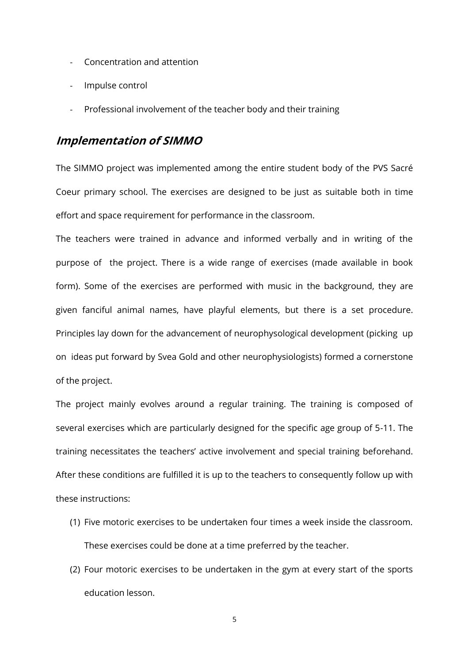- Concentration and attention
- Impulse control
- Professional involvement of the teacher body and their training

## **Implementation of SIMMO**

The SIMMO project was implemented among the entire student body of the PVS Sacré Coeur primary school. The exercises are designed to be just as suitable both in time effort and space requirement for performance in the classroom.

The teachers were trained in advance and informed verbally and in writing of the purpose of the project. There is a wide range of exercises (made available in book form). Some of the exercises are performed with music in the background, they are given fanciful animal names, have playful elements, but there is a set procedure. Principles lay down for the advancement of neurophysological development (picking up on ideas put forward by Svea Gold and other neurophysiologists) formed a cornerstone of the project.

The project mainly evolves around a regular training. The training is composed of several exercises which are particularly designed for the specific age group of 5-11. The training necessitates the teachers' active involvement and special training beforehand. After these conditions are fulfilled it is up to the teachers to consequently follow up with these instructions:

- (1) Five motoric exercises to be undertaken four times a week inside the classroom. These exercises could be done at a time preferred by the teacher.
- (2) Four motoric exercises to be undertaken in the gym at every start of the sports education lesson.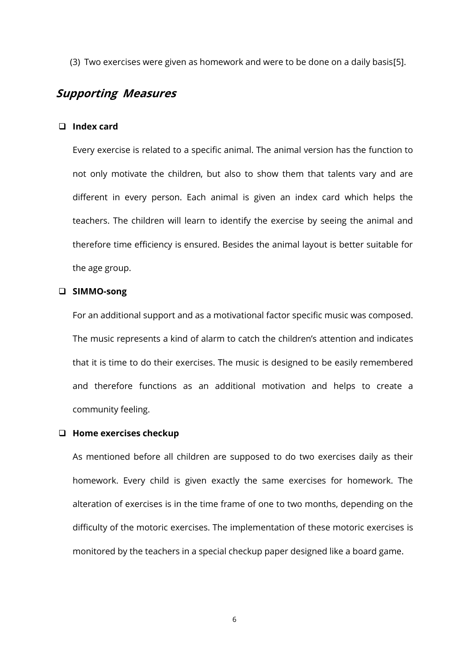(3) Two exercises were given as homework and were to be done on a daily basis[5].

## **Supporting Measures**

### **Index card**

Every exercise is related to a specific animal. The animal version has the function to not only motivate the children, but also to show them that talents vary and are different in every person. Each animal is given an index card which helps the teachers. The children will learn to identify the exercise by seeing the animal and therefore time efficiency is ensured. Besides the animal layout is better suitable for the age group.

#### **SIMMO-song**

For an additional support and as a motivational factor specific music was composed. The music represents a kind of alarm to catch the children's attention and indicates that it is time to do their exercises. The music is designed to be easily remembered and therefore functions as an additional motivation and helps to create a community feeling.

### **Home exercises checkup**

As mentioned before all children are supposed to do two exercises daily as their homework. Every child is given exactly the same exercises for homework. The alteration of exercises is in the time frame of one to two months, depending on the difficulty of the motoric exercises. The implementation of these motoric exercises is monitored by the teachers in a special checkup paper designed like a board game.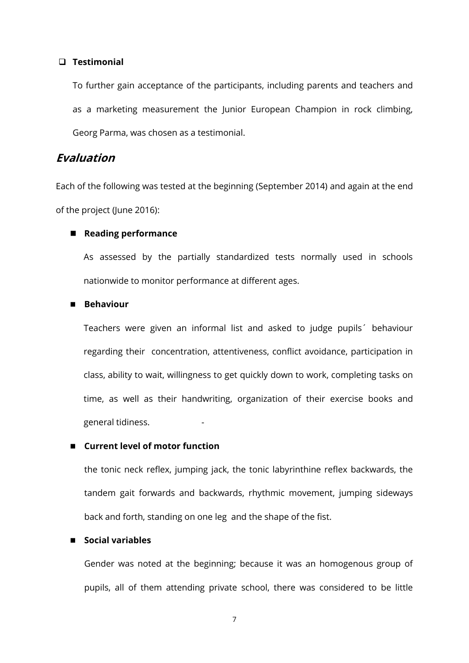#### **Testimonial**

To further gain acceptance of the participants, including parents and teachers and as a marketing measurement the Junior European Champion in rock climbing, Georg Parma, was chosen as a testimonial.

## **Evaluation**

Each of the following was tested at the beginning (September 2014) and again at the end of the project (June 2016):

#### **Reading performance**

As assessed by the partially standardized tests normally used in schools nationwide to monitor performance at different ages.

#### **Behaviour**

Teachers were given an informal list and asked to judge pupils´ behaviour regarding their concentration, attentiveness, conflict avoidance, participation in class, ability to wait, willingness to get quickly down to work, completing tasks on time, as well as their handwriting, organization of their exercise books and general tidiness.

#### **Current level of motor function**

the tonic neck reflex, jumping jack, the tonic labyrinthine reflex backwards, the tandem gait forwards and backwards, rhythmic movement, jumping sideways back and forth, standing on one leg and the shape of the fist.

#### **Social variables**

Gender was noted at the beginning; because it was an homogenous group of pupils, all of them attending private school, there was considered to be little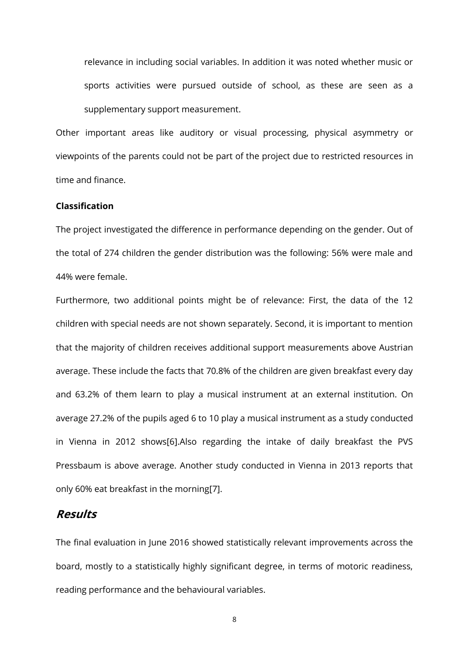relevance in including social variables. In addition it was noted whether music or sports activities were pursued outside of school, as these are seen as a supplementary support measurement.

Other important areas like auditory or visual processing, physical asymmetry or viewpoints of the parents could not be part of the project due to restricted resources in time and finance.

### **Classification**

The project investigated the difference in performance depending on the gender. Out of the total of 274 children the gender distribution was the following: 56% were male and 44% were female.

Furthermore, two additional points might be of relevance: First, the data of the 12 children with special needs are not shown separately. Second, it is important to mention that the majority of children receives additional support measurements above Austrian average. These include the facts that 70.8% of the children are given breakfast every day and 63.2% of them learn to play a musical instrument at an external institution. On average 27.2% of the pupils aged 6 to 10 play a musical instrument as a study conducted in Vienna in 2012 shows[6].Also regarding the intake of daily breakfast the PVS Pressbaum is above average. Another study conducted in Vienna in 2013 reports that only 60% eat breakfast in the morning[7].

## **Results**

The final evaluation in June 2016 showed statistically relevant improvements across the board, mostly to a statistically highly significant degree, in terms of motoric readiness, reading performance and the behavioural variables.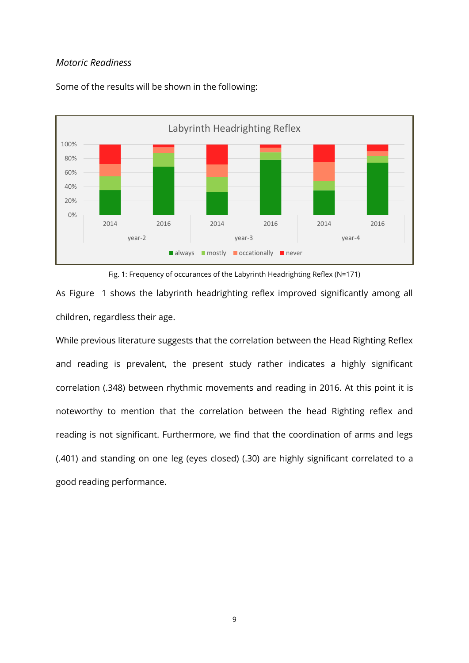### *Motoric Readiness*



Some of the results will be shown in the following:

Fig. 1: Frequency of occurances of the Labyrinth Headrighting Reflex (N=171)

As Figure 1 shows the labyrinth headrighting reflex improved significantly among all children, regardless their age.

While previous literature suggests that the correlation between the Head Righting Reflex and reading is prevalent, the present study rather indicates a highly significant correlation (.348) between rhythmic movements and reading in 2016. At this point it is noteworthy to mention that the correlation between the head Righting reflex and reading is not significant. Furthermore, we find that the coordination of arms and legs (.401) and standing on one leg (eyes closed) (.30) are highly significant correlated to a good reading performance.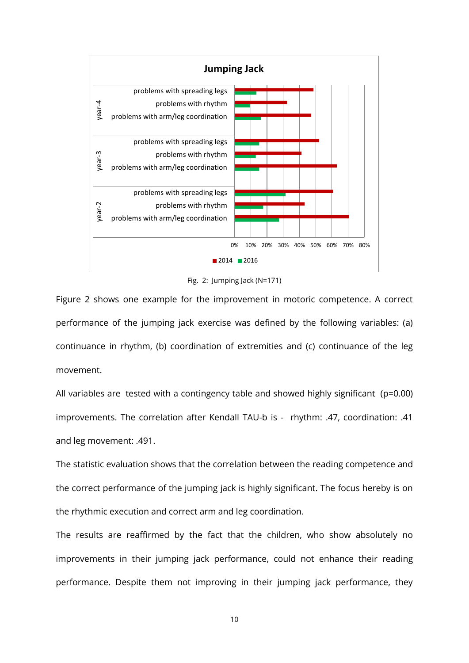

Fig. 2: Jumping Jack (N=171)

Figure 2 shows one example for the improvement in motoric competence. A correct performance of the jumping jack exercise was defined by the following variables: (a) continuance in rhythm, (b) coordination of extremities and (c) continuance of the leg movement.

All variables are tested with a contingency table and showed highly significant (p=0.00) improvements. The correlation after Kendall TAU-b is - rhythm: .47, coordination: .41 and leg movement: .491.

The statistic evaluation shows that the correlation between the reading competence and the correct performance of the jumping jack is highly significant. The focus hereby is on the rhythmic execution and correct arm and leg coordination.

The results are reaffirmed by the fact that the children, who show absolutely no improvements in their jumping jack performance, could not enhance their reading performance. Despite them not improving in their jumping jack performance, they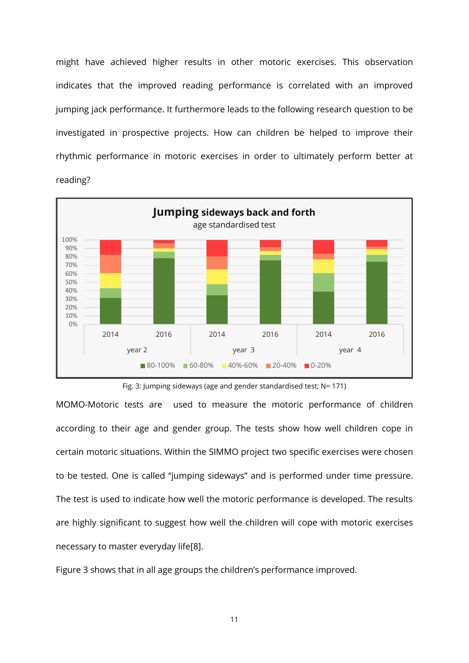might have achieved higher results in other motoric exercises. This observation indicates that the improved reading performance is correlated with an improved jumping jack performance. It furthermore leads to the following research question to be investigated in prospective projects. How can children be helped to improve their rhythmic performance in motoric exercises in order to ultimately perform better at reading?



Fig. 3: Jumping sideways (age and gender standardised test; N= 171)

MOMO-Motoric tests are used to measure the motoric performance of children according to their age and gender group. The tests show how well children cope in certain motoric situations. Within the SIMMO project two specific exercises were chosen to be tested. One is called "jumping sideways" and is performed under time pressure. The test is used to indicate how well the motoric performance is developed. The results are highly significant to suggest how well the children will cope with motoric exercises necessary to master everyday life[8].

Figure 3 shows that in all age groups the children's performance improved.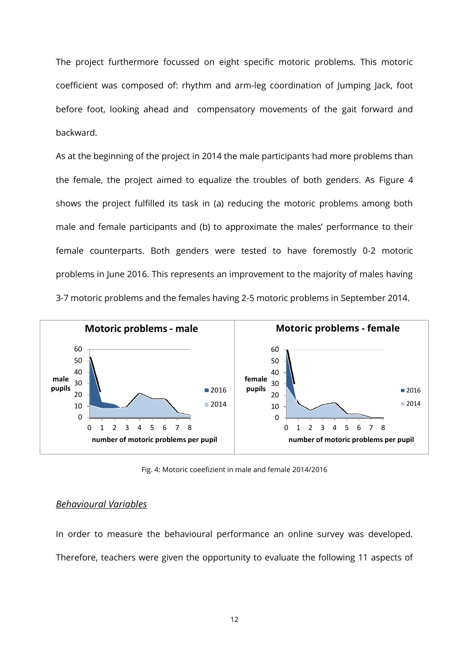The project furthermore focussed on eight specific motoric problems. This motoric coefficient was composed of: rhythm and arm-leg coordination of Jumping Jack, foot before foot, looking ahead and compensatory movements of the gait forward and backward.

As at the beginning of the project in 2014 the male participants had more problems than the female, the project aimed to equalize the troubles of both genders. As Figure 4 shows the project fulfilled its task in (a) reducing the motoric problems among both male and female participants and (b) to approximate the males' performance to their female counterparts. Both genders were tested to have foremostly 0-2 motoric problems in June 2016. This represents an improvement to the majority of males having 3-7 motoric problems and the females having 2-5 motoric problems in September 2014.



Fig. 4: Motoric coeefizient in male and female 2014/2016

### *Behavioural Variables*

In order to measure the behavioural performance an online survey was developed. Therefore, teachers were given the opportunity to evaluate the following 11 aspects of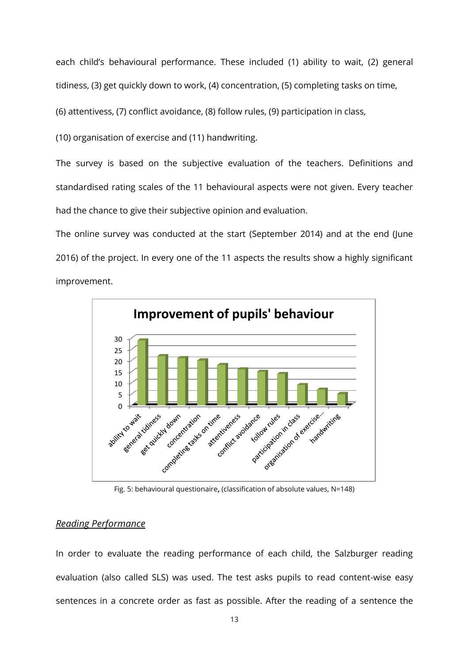each child's behavioural performance. These included (1) ability to wait, (2) general tidiness, (3) get quickly down to work, (4) concentration, (5) completing tasks on time,

(6) attentivess, (7) conflict avoidance, (8) follow rules, (9) participation in class,

(10) organisation of exercise and (11) handwriting.

The survey is based on the subjective evaluation of the teachers. Definitions and standardised rating scales of the 11 behavioural aspects were not given. Every teacher had the chance to give their subjective opinion and evaluation.

The online survey was conducted at the start (September 2014) and at the end (June 2016) of the project. In every one of the 11 aspects the results show a highly significant improvement.



Fig. 5: behavioural questionaire**,** (classification of absolute values, N=148)

### *Reading Performance*

In order to evaluate the reading performance of each child, the Salzburger reading evaluation (also called SLS) was used. The test asks pupils to read content-wise easy sentences in a concrete order as fast as possible. After the reading of a sentence the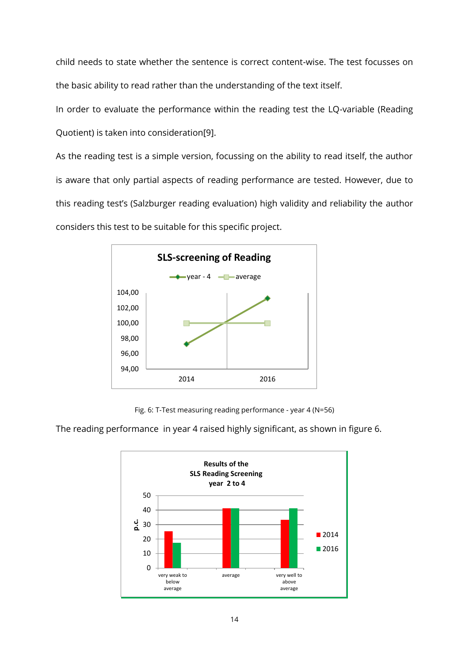child needs to state whether the sentence is correct content-wise. The test focusses on the basic ability to read rather than the understanding of the text itself.

In order to evaluate the performance within the reading test the LQ-variable (Reading Quotient) is taken into consideration[9].

As the reading test is a simple version, focussing on the ability to read itself, the author is aware that only partial aspects of reading performance are tested. However, due to this reading test's (Salzburger reading evaluation) high validity and reliability the author considers this test to be suitable for this specific project.



Fig. 6: T-Test measuring reading performance - year 4 (N=56)

The reading performance in year 4 raised highly significant, as shown in figure 6.

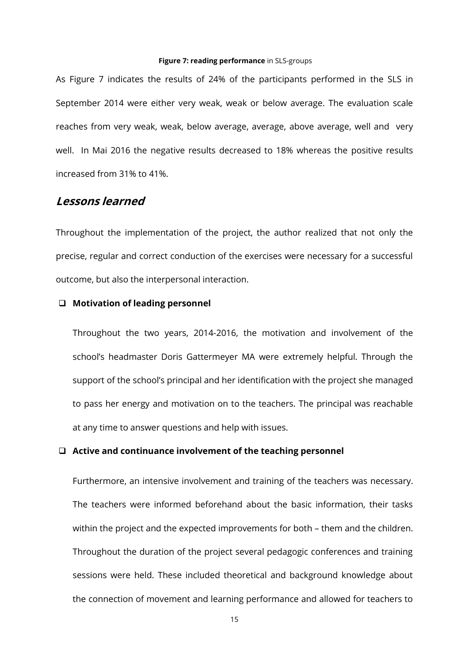#### **Figure 7: reading performance** in SLS-groups

As Figure 7 indicates the results of 24% of the participants performed in the SLS in September 2014 were either very weak, weak or below average. The evaluation scale reaches from very weak, weak, below average, average, above average, well and very well. In Mai 2016 the negative results decreased to 18% whereas the positive results increased from 31% to 41%.

## **Lessons learned**

Throughout the implementation of the project, the author realized that not only the precise, regular and correct conduction of the exercises were necessary for a successful outcome, but also the interpersonal interaction.

#### **Motivation of leading personnel**

Throughout the two years, 2014-2016, the motivation and involvement of the school's headmaster Doris Gattermeyer MA were extremely helpful. Through the support of the school's principal and her identification with the project she managed to pass her energy and motivation on to the teachers. The principal was reachable at any time to answer questions and help with issues.

#### **Active and continuance involvement of the teaching personnel**

Furthermore, an intensive involvement and training of the teachers was necessary. The teachers were informed beforehand about the basic information, their tasks within the project and the expected improvements for both – them and the children. Throughout the duration of the project several pedagogic conferences and training sessions were held. These included theoretical and background knowledge about the connection of movement and learning performance and allowed for teachers to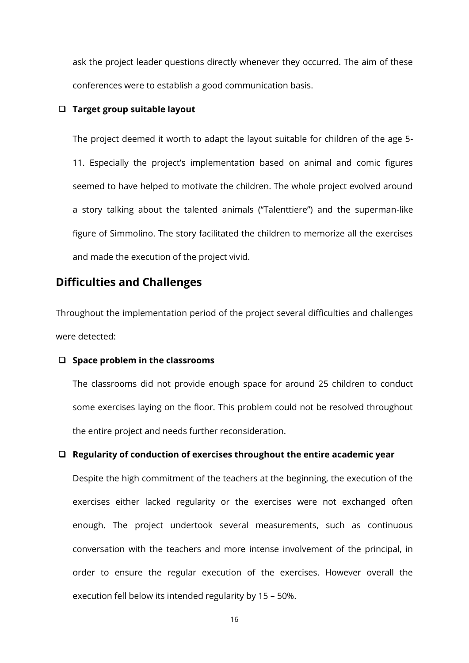ask the project leader questions directly whenever they occurred. The aim of these conferences were to establish a good communication basis.

### **Target group suitable layout**

The project deemed it worth to adapt the layout suitable for children of the age 5- 11. Especially the project's implementation based on animal and comic figures seemed to have helped to motivate the children. The whole project evolved around a story talking about the talented animals ("Talenttiere") and the superman-like figure of Simmolino. The story facilitated the children to memorize all the exercises and made the execution of the project vivid.

## **Difficulties and Challenges**

Throughout the implementation period of the project several difficulties and challenges were detected:

### **Space problem in the classrooms**

The classrooms did not provide enough space for around 25 children to conduct some exercises laying on the floor. This problem could not be resolved throughout the entire project and needs further reconsideration.

### **Regularity of conduction of exercises throughout the entire academic year**

Despite the high commitment of the teachers at the beginning, the execution of the exercises either lacked regularity or the exercises were not exchanged often enough. The project undertook several measurements, such as continuous conversation with the teachers and more intense involvement of the principal, in order to ensure the regular execution of the exercises. However overall the execution fell below its intended regularity by 15 – 50%.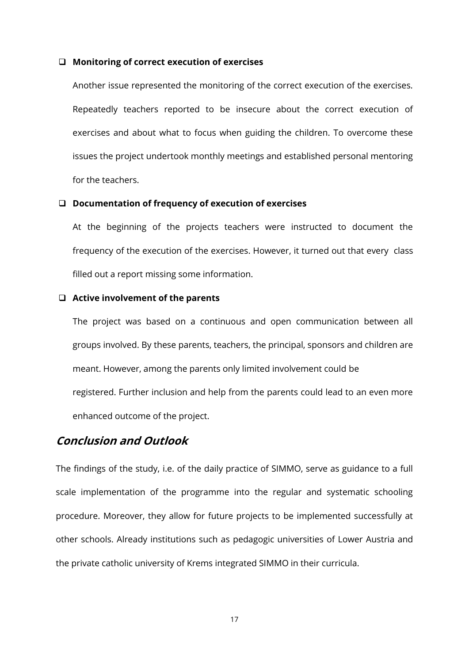#### **Monitoring of correct execution of exercises**

Another issue represented the monitoring of the correct execution of the exercises. Repeatedly teachers reported to be insecure about the correct execution of exercises and about what to focus when guiding the children. To overcome these issues the project undertook monthly meetings and established personal mentoring for the teachers.

### **Documentation of frequency of execution of exercises**

At the beginning of the projects teachers were instructed to document the frequency of the execution of the exercises. However, it turned out that every class filled out a report missing some information.

#### **Active involvement of the parents**

The project was based on a continuous and open communication between all groups involved. By these parents, teachers, the principal, sponsors and children are meant. However, among the parents only limited involvement could be registered. Further inclusion and help from the parents could lead to an even more enhanced outcome of the project.

## **Conclusion and Outlook**

The findings of the study, i.e. of the daily practice of SIMMO, serve as guidance to a full scale implementation of the programme into the regular and systematic schooling procedure. Moreover, they allow for future projects to be implemented successfully at other schools. Already institutions such as pedagogic universities of Lower Austria and the private catholic university of Krems integrated SIMMO in their curricula.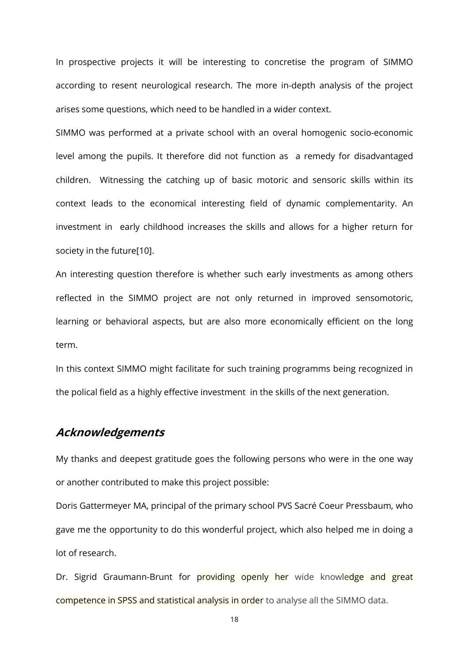In prospective projects it will be interesting to concretise the program of SIMMO according to resent neurological research. The more in-depth analysis of the project arises some questions, which need to be handled in a wider context.

SIMMO was performed at a private school with an overal homogenic socio-economic level among the pupils. It therefore did not function as a remedy for disadvantaged children. Witnessing the catching up of basic motoric and sensoric skills within its context leads to the economical interesting field of dynamic complementarity. An investment in early childhood increases the skills and allows for a higher return for society in the future[10].

An interesting question therefore is whether such early investments as among others reflected in the SIMMO project are not only returned in improved sensomotoric, learning or behavioral aspects, but are also more economically efficient on the long term.

In this context SIMMO might facilitate for such training programms being recognized in the polical field as a highly effective investment in the skills of the next generation.

## **Acknowledgements**

My thanks and deepest gratitude goes the following persons who were in the one way or another contributed to make this project possible:

Doris Gattermeyer MA, principal of the primary school PVS Sacré Coeur Pressbaum, who gave me the opportunity to do this wonderful project, which also helped me in doing a lot of research.

Dr. Sigrid Graumann-Brunt for providing openly her wide knowledge and great competence in SPSS and statistical analysis in order to analyse all the SIMMO data.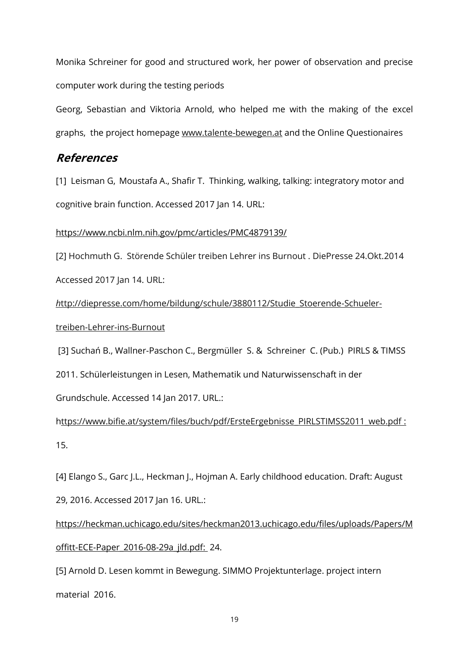Monika Schreiner for good and structured work, her power of observation and precise computer work during the testing periods

Georg, Sebastian and Viktoria Arnold, who helped me with the making of the excel graphs, the project homepage [www.talente-bewegen.at](http://www.talente-bewegen.at/) and the Online Questionaires

## **References**

[1] [Leisman](https://www.ncbi.nlm.nih.gov/pubmed/?term=Leisman%20G%5BAuthor%5D&cauthor=true&cauthor_uid=27252937) G, [Moustafa](https://www.ncbi.nlm.nih.gov/pubmed/?term=Moustafa%20AA%5BAuthor%5D&cauthor=true&cauthor_uid=27252937) A., [Shafir](https://www.ncbi.nlm.nih.gov/pubmed/?term=Shafir%20T%5BAuthor%5D&cauthor=true&cauthor_uid=27252937) T. Thinking, walking, talking: integratory motor and cognitive brain function. Accessed 2017 Jan 14. URL:

<https://www.ncbi.nlm.nih.gov/pmc/articles/PMC4879139/>

[\[2\] Hochmuth G. Störende Schüler treiben Lehrer ins Burnout . DiePresse 24.Okt.2014](file:///C:/Users/arnoldda/Downloads/%5b2%5d%20Hochmuth%20G.%20%20Störende%20Schüler%20treiben%20Lehrer%20ins%20Burnout%20.%20DiePresse%2024.Okt.2014%20Accessed%202017%20Jan%2014.%20URL:%20%20%20%20%20%20%20%20http:/diepresse.com/home/bildung/schule/3880112/Studie_Stoerende-Schueler-treiben-Lehrer-ins-Burnout)  [Accessed 2017 Jan 14. URL:](file:///C:/Users/arnoldda/Downloads/%5b2%5d%20Hochmuth%20G.%20%20Störende%20Schüler%20treiben%20Lehrer%20ins%20Burnout%20.%20DiePresse%2024.Okt.2014%20Accessed%202017%20Jan%2014.%20URL:%20%20%20%20%20%20%20%20http:/diepresse.com/home/bildung/schule/3880112/Studie_Stoerende-Schueler-treiben-Lehrer-ins-Burnout) 

*h*[ttp://diepresse.com/home/bildung/schule/3880112/Studie\\_Stoerende-Schueler](file:///C:/Users/arnoldda/Downloads/%5b2%5d%20Hochmuth%20G.%20%20Störende%20Schüler%20treiben%20Lehrer%20ins%20Burnout%20.%20DiePresse%2024.Okt.2014%20Accessed%202017%20Jan%2014.%20URL:%20%20%20%20%20%20%20%20http:/diepresse.com/home/bildung/schule/3880112/Studie_Stoerende-Schueler-treiben-Lehrer-ins-Burnout)[treiben-Lehrer-ins-Burnout](file:///C:/Users/arnoldda/Downloads/%5b2%5d%20Hochmuth%20G.%20%20Störende%20Schüler%20treiben%20Lehrer%20ins%20Burnout%20.%20DiePresse%2024.Okt.2014%20Accessed%202017%20Jan%2014.%20URL:%20%20%20%20%20%20%20%20http:/diepresse.com/home/bildung/schule/3880112/Studie_Stoerende-Schueler-treiben-Lehrer-ins-Burnout)

[3] Suchań B., Wallner-Paschon C., Bergmüller S. & Schreiner C. (Pub.) PIRLS & TIMSS

2011. Schülerleistungen in Lesen, Mathematik und Naturwissenschaft in der

Grundschule. Accessed 14 Jan 2017. URL.:

https://www.bifie.at/system/files/buch/pdf/ErsteErgebnisse\_PIRLSTIMSS2011\_web.pdf : 15.

[4] Elango S., Garc J.L., Heckman J., Hojman A. Early childhood education. Draft: August 29, 2016. Accessed 2017 Jan 16. URL.:

[https://heckman.uchicago.edu/sites/heckman2013.uchicago.edu/files/uploads/Papers/M](https://heckman.uchicago.edu/sites/heckman2013.uchicago.edu/files/uploads/Papers/Moffitt-ECE-Paper_2016-08-29a_jld.pdf) [offitt-ECE-Paper\\_2016-08-29a\\_jld.pdf:](https://heckman.uchicago.edu/sites/heckman2013.uchicago.edu/files/uploads/Papers/Moffitt-ECE-Paper_2016-08-29a_jld.pdf) 24.

[5] Arnold D. Lesen kommt in Bewegung. SIMMO Projektunterlage. project intern material 2016.